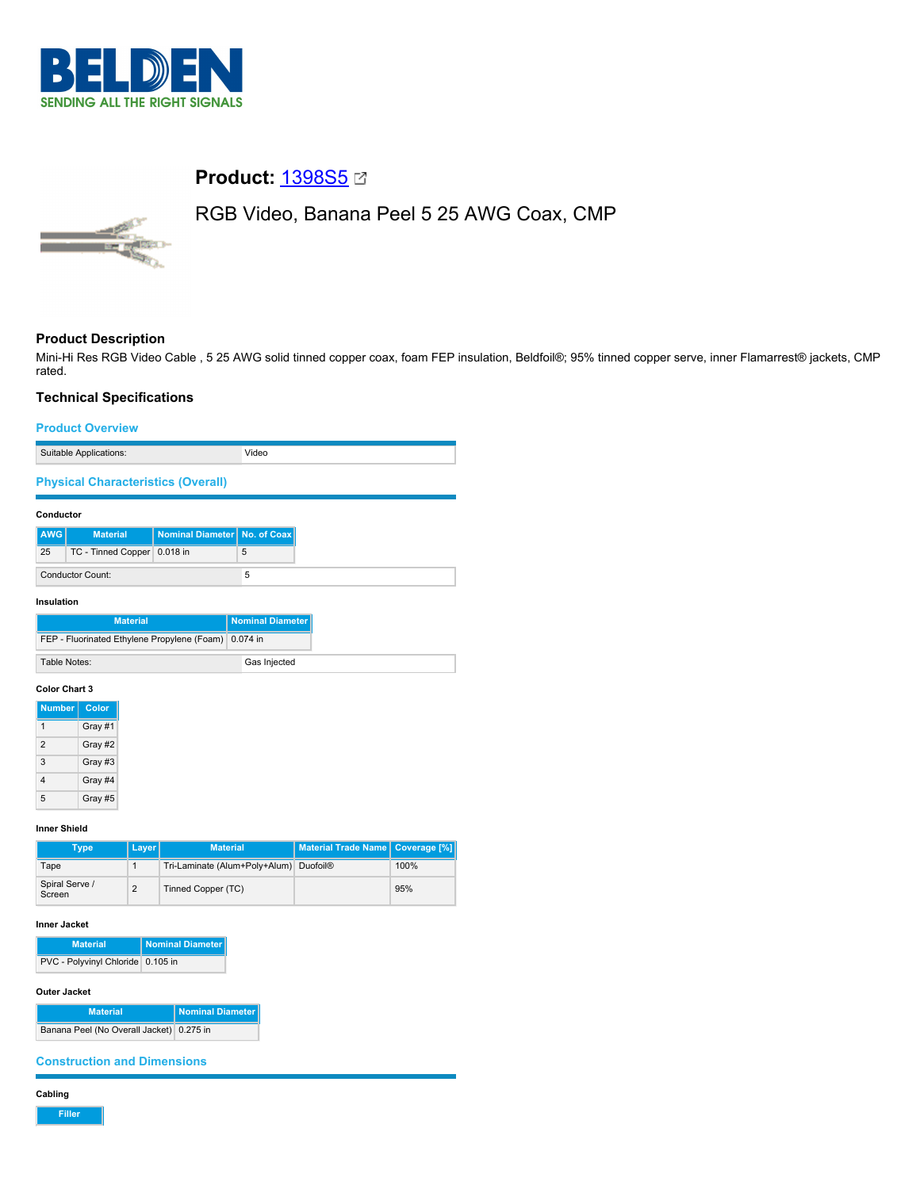

# **Product: [1398S5](https://catalog.belden.com/index.cfm?event=pd&p=PF_1398S5&tab=downloads) @**

# RGB Video, Banana Peel 5 25 AWG Coax, CMP



# **Product Description**

Mini-Hi Res RGB Video Cable , 5 25 AWG solid tinned copper coax, foam FEP insulation, Beldfoil®; 95% tinned copper serve, inner Flamarrest® jackets, CMP rated.

# **Technical Specifications**

### **Product Overview**

| Suitable Applications: | 'idec |
|------------------------|-------|

**Physical Characteristics (Overall)**

#### **Conductor**

| AWG                     | <b>Material</b>               | Nominal Diameter No. of Coax |  |
|-------------------------|-------------------------------|------------------------------|--|
| 25                      | TC - Tinned Copper   0.018 in |                              |  |
| <b>Conductor Count:</b> |                               |                              |  |

**Insulation**

| <b>Material</b>                                      | Nominal Diameter I |
|------------------------------------------------------|--------------------|
| FEP - Fluorinated Ethylene Propylene (Foam) 0.074 in |                    |
| Table Notes:                                         | Gas Injected       |

#### **Color Chart 3**

| <b>Number</b>  | Color   |
|----------------|---------|
| 1              | Gray #1 |
| $\mathfrak{p}$ | Gray #2 |
| 3              | Gray #3 |
| 4              | Gray #4 |
| 5              | Gray #5 |

### **Inner Shield**

| Type                     | <b>Layer</b> | <b>Material</b>                                    | Material Trade Name   Coverage [%] |      |
|--------------------------|--------------|----------------------------------------------------|------------------------------------|------|
| Tape                     |              | Tri-Laminate (Alum+Poly+Alum) Duofoil <sup>®</sup> |                                    | 100% |
| Spiral Serve /<br>Screen | ◠            | Tinned Copper (TC)                                 |                                    | 95%  |

# **Inner Jacket**

| <b>Material</b>                   | Nominal Diameter |
|-----------------------------------|------------------|
| PVC - Polyvinyl Chloride 0.105 in |                  |

## **Outer Jacket**

| <b>Material</b>                          | <b>Nominal Diameter</b> |
|------------------------------------------|-------------------------|
| Banana Peel (No Overall Jacket) 0.275 in |                         |

**Construction and Dimensions**

# **Cabling**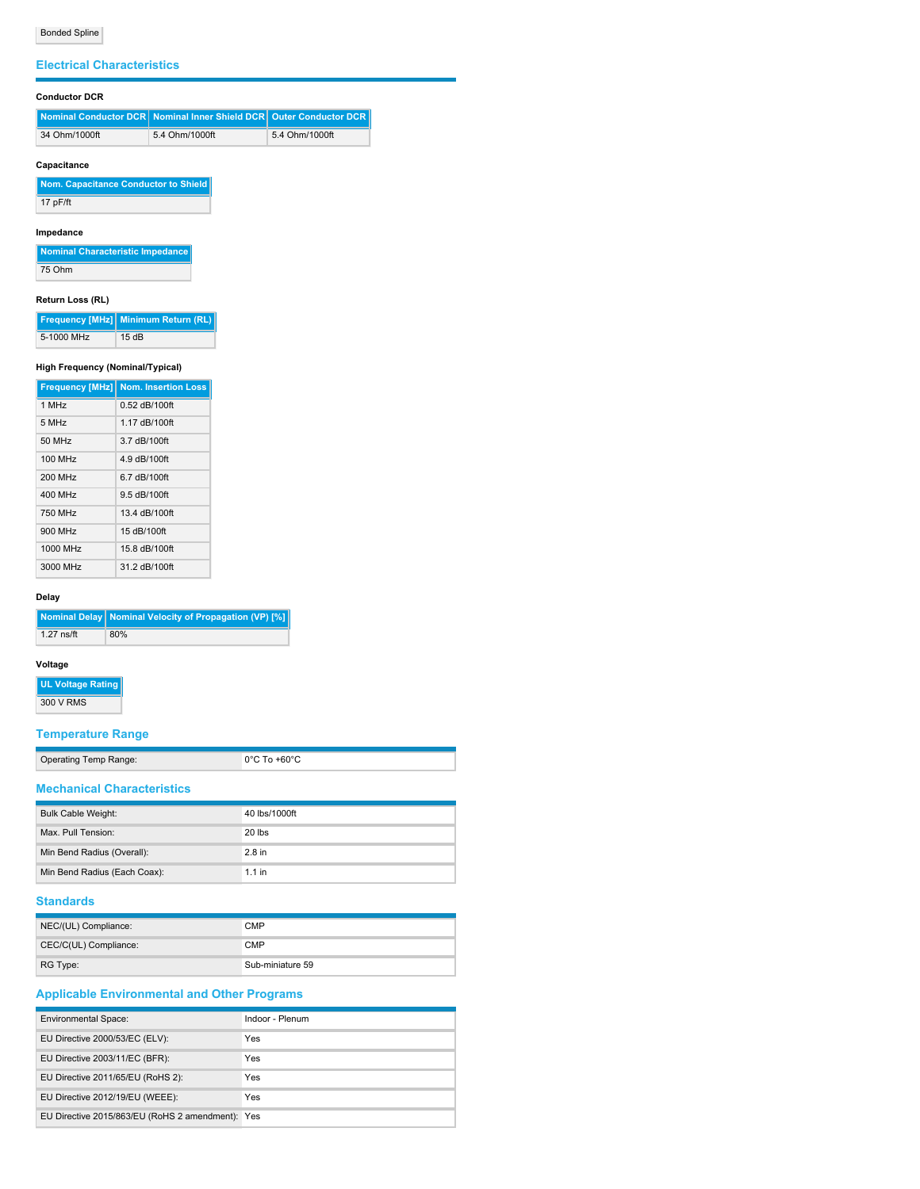## **Electrical Characteristics**

# **Conductor DCR**

|               | Nominal Conductor DCR Nominal Inner Shield DCR Quter Conductor DCR |                |
|---------------|--------------------------------------------------------------------|----------------|
| 34 Ohm/1000ft | 5.4 Ohm/1000ft                                                     | 5.4 Ohm/1000ft |

# **Capacitance**

| Nom. Capacitance Conductor to Shield |
|--------------------------------------|
| 17 pF/ft                             |

### **Impedance**

| Nominal Characteristic Impedance |
|----------------------------------|
| 75 Ohm                           |

### **Return Loss (RL)**

|            | Frequency [MHz] Minimum Return (RL) |
|------------|-------------------------------------|
| 5-1000 MHz | 15dB                                |

### **High Frequency (Nominal/Typical)**

|                     | <b>Frequency [MHz] Nom. Insertion Loss</b> |
|---------------------|--------------------------------------------|
| 1 MHz               | 0.52 dB/100ft                              |
| $5$ MH <sub>z</sub> | 1.17 dB/100ft                              |
| 50 MHz              | 3.7 dB/100ft                               |
| 100 MHz             | 4.9 dB/100ft                               |
| 200 MHz             | 6.7 dB/100ft                               |
| 400 MHz             | 9.5 dB/100ft                               |
| 750 MHz             | 13.4 dB/100ft                              |
| 900 MHz             | 15 dB/100ft                                |
| 1000 MHz            | 15.8 dB/100ft                              |
| 3000 MHz            | 31.2 dB/100ft                              |

#### **Delay**

|              | Nominal Delay   Nominal Velocity of Propagation (VP) [%] |
|--------------|----------------------------------------------------------|
| $1.27$ ns/ft | 80%                                                      |

#### **Voltage**

# **UL Voltage Rating**

300 V RMS

# **Temperature Range**

| Onerating Temp Range: |  |  |
|-----------------------|--|--|

Operating Temp Range: 0°C To +60°C

# **Mechanical Characteristics**

| <b>Bulk Cable Weight:</b>    | 40 lbs/1000ft |
|------------------------------|---------------|
| Max. Pull Tension:           | $20$ lbs      |
| Min Bend Radius (Overall):   | $2.8$ in      |
| Min Bend Radius (Each Coax): | $1.1$ in      |

# **Standards**

| NEC/(UL) Compliance:  | <b>CMP</b>       |
|-----------------------|------------------|
| CEC/C(UL) Compliance: | <b>CMP</b>       |
| RG Type:              | Sub-miniature 59 |

# **Applicable Environmental and Other Programs**

| <b>Environmental Space:</b>                      | Indoor - Plenum |
|--------------------------------------------------|-----------------|
| EU Directive 2000/53/EC (ELV):                   | Yes             |
| EU Directive 2003/11/EC (BFR):                   | Yes             |
| EU Directive 2011/65/EU (RoHS 2):                | Yes             |
| EU Directive 2012/19/EU (WEEE):                  | Yes             |
| EU Directive 2015/863/EU (RoHS 2 amendment): Yes |                 |